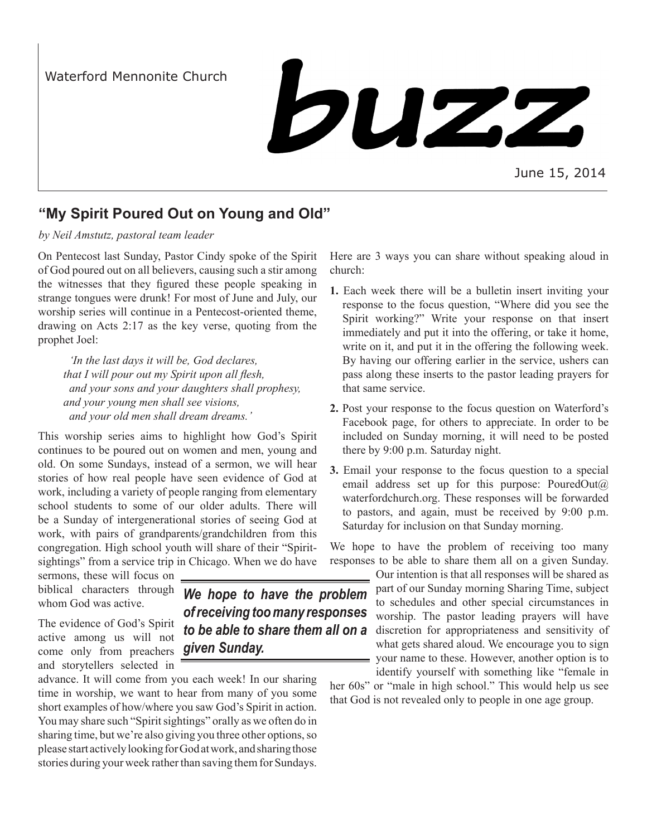Waterford Mennonite Church

# buzz

# **"My Spirit Poured Out on Young and Old"**

# *by Neil Amstutz, pastoral team leader*

On Pentecost last Sunday, Pastor Cindy spoke of the Spirit of God poured out on all believers, causing such a stir among the witnesses that they figured these people speaking in strange tongues were drunk! For most of June and July, our worship series will continue in a Pentecost-oriented theme, drawing on Acts 2:17 as the key verse, quoting from the prophet Joel:

 *'In the last days it will be, God declares, that I will pour out my Spirit upon all flesh, and your sons and your daughters shall prophesy, and your young men shall see visions, and your old men shall dream dreams.'*

This worship series aims to highlight how God's Spirit continues to be poured out on women and men, young and old. On some Sundays, instead of a sermon, we will hear stories of how real people have seen evidence of God at work, including a variety of people ranging from elementary school students to some of our older adults. There will be a Sunday of intergenerational stories of seeing God at work, with pairs of grandparents/grandchildren from this congregation. High school youth will share of their "Spiritsightings" from a service trip in Chicago. When we do have

sermons, these will focus on biblical characters through whom God was active.

The evidence of God's Spirit active among us will not come only from preachers *given Sunday.*and storytellers selected in

advance. It will come from you each week! In our sharing time in worship, we want to hear from many of you some short examples of how/where you saw God's Spirit in action. You may share such "Spirit sightings" orally as we often do in sharing time, but we're also giving you three other options, so please start actively looking for God at work, and sharing those stories during your week rather than saving them for Sundays.

Here are 3 ways you can share without speaking aloud in church:

- **1.** Each week there will be a bulletin insert inviting your response to the focus question, "Where did you see the Spirit working?" Write your response on that insert immediately and put it into the offering, or take it home, write on it, and put it in the offering the following week. By having our offering earlier in the service, ushers can pass along these inserts to the pastor leading prayers for that same service.
- **2.** Post your response to the focus question on Waterford's Facebook page, for others to appreciate. In order to be included on Sunday morning, it will need to be posted there by 9:00 p.m. Saturday night.
- **3.** Email your response to the focus question to a special email address set up for this purpose: PouredOut $(a)$ waterfordchurch.org. These responses will be forwarded to pastors, and again, must be received by 9:00 p.m. Saturday for inclusion on that Sunday morning.

We hope to have the problem of receiving too many responses to be able to share them all on a given Sunday.

Our intention is that all responses will be shared as part of our Sunday morning Sharing Time, subject to schedules and other special circumstances in worship. The pastor leading prayers will have discretion for appropriateness and sensitivity of what gets shared aloud. We encourage you to sign your name to these. However, another option is to identify yourself with something like "female in

her 60s" or "male in high school." This would help us see that God is not revealed only to people in one age group.

*We hope to have the problem of receiving too many responses to be able to share them all on a*